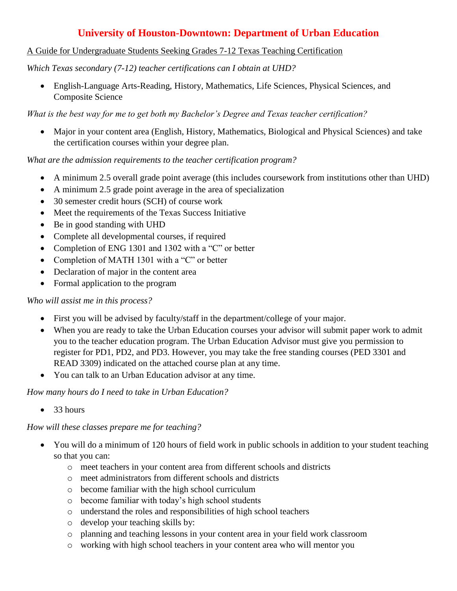# **University of Houston-Downtown: Department of Urban Education**

## A Guide for Undergraduate Students Seeking Grades 7-12 Texas Teaching Certification

*Which Texas secondary (7-12) teacher certifications can I obtain at UHD?*

 English-Language Arts-Reading, History, Mathematics, Life Sciences, Physical Sciences, and Composite Science

*What is the best way for me to get both my Bachelor's Degree and Texas teacher certification?* 

 Major in your content area (English, History, Mathematics, Biological and Physical Sciences) and take the certification courses within your degree plan.

*What are the admission requirements to the teacher certification program?* 

- A minimum 2.5 overall grade point average (this includes coursework from institutions other than UHD)
- A minimum 2.5 grade point average in the area of specialization
- 30 semester credit hours (SCH) of course work
- Meet the requirements of the Texas Success Initiative
- Be in good standing with UHD
- Complete all developmental courses, if required
- Completion of ENG 1301 and 1302 with a "C" or better
- Completion of MATH 1301 with a "C" or better
- Declaration of major in the content area
- Formal application to the program

### *Who will assist me in this process?*

- First you will be advised by faculty/staff in the department/college of your major.
- When you are ready to take the Urban Education courses your advisor will submit paper work to admit you to the teacher education program. The Urban Education Advisor must give you permission to register for PD1, PD2, and PD3. However, you may take the free standing courses (PED 3301 and READ 3309) indicated on the attached course plan at any time.
- You can talk to an Urban Education advisor at any time.

*How many hours do I need to take in Urban Education?*

 $\bullet$  33 hours

### *How will these classes prepare me for teaching?*

- You will do a minimum of 120 hours of field work in public schools in addition to your student teaching so that you can:
	- o meet teachers in your content area from different schools and districts
	- o meet administrators from different schools and districts
	- o become familiar with the high school curriculum
	- o become familiar with today's high school students
	- o understand the roles and responsibilities of high school teachers
	- o develop your teaching skills by:
	- o planning and teaching lessons in your content area in your field work classroom
	- o working with high school teachers in your content area who will mentor you